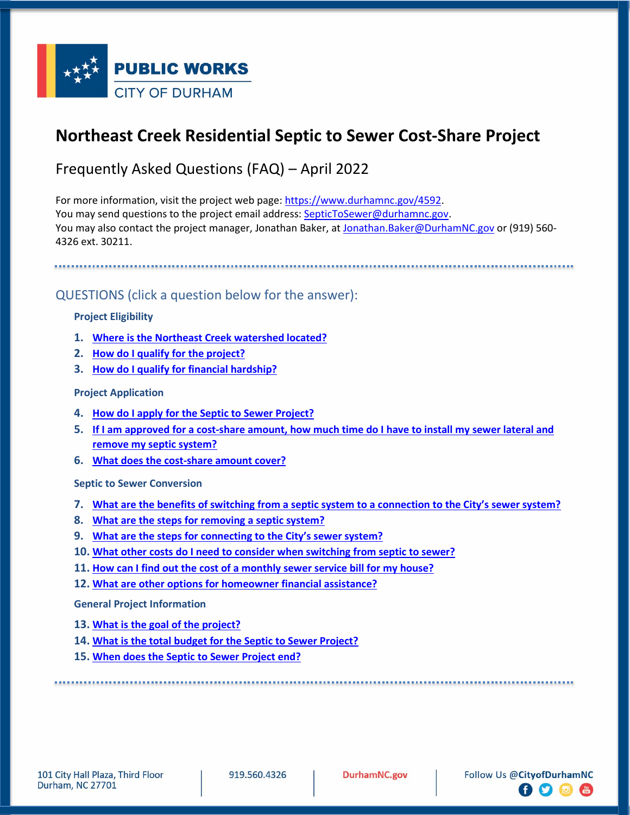

# **Northeast Creek Residential Septic to Sewer Cost-Share Project**

Frequently Asked Questions (FAQ) – April 2022

For more information, visit the project web page:<https://www.durhamnc.gov/4592>. You may send questions to the project email address[: SepticToSewer@durhamnc.gov](mailto:SepticToSewer@durhamnc.gov). You may also contact the project manager, Jonathan Baker, a[t Jonathan.Baker@DurhamNC.gov](mailto:Jonathan.Baker@DurhamNC.gov) or (919) 560-4326 ext. 30211.

QUESTIONS (click a question below for the answer):

#### **Project Eligibility**

- **1. [Where is the Northeast Creek watershed located?](#page-1-0)**
- **2. [How do I qualify for the project?](#page-1-1)**
- **3. [How do I qualify for financial hardship?](#page-1-2)**

#### **Project Application**

- **4. How do I apply for the [Septic to Sewer Project?](#page-1-3)**
- **5. [If I am approved for a cost-share amount, how much time do I have to install my sewer lateral and](#page-1-4)  [remove my septic system?](#page-1-4)**
- **6. [What does the cost-share amount cover?](#page-1-5)**

**Septic to Sewer Conversion**

- **7. [What are the benefits of switching from a septic system to a connection to the City's sewer system?](#page-2-0)**
- **8. [What are the steps for removing a septic system?](#page-2-1)**
- **9. [What are the steps for connecting to the City's sewer system?](#page-2-2)**
- **10. [What other costs do I need to consider when switching from septic to sewer?](#page-2-3)**
- **11. [How can I find out the cost of a monthly sewer service bill for my house?](#page-3-0)**
- **12. [What are other options for homeowner financial assistance?](#page-3-1)**

**General Project Information**

- **13. [What is the goal](#page-3-2) of the project?**
- **14. [What is the total budget for the Septic to Sewer Project?](#page-3-2)**
- **15. [When does the Septic to Sewer Project end?](#page-3-3)**

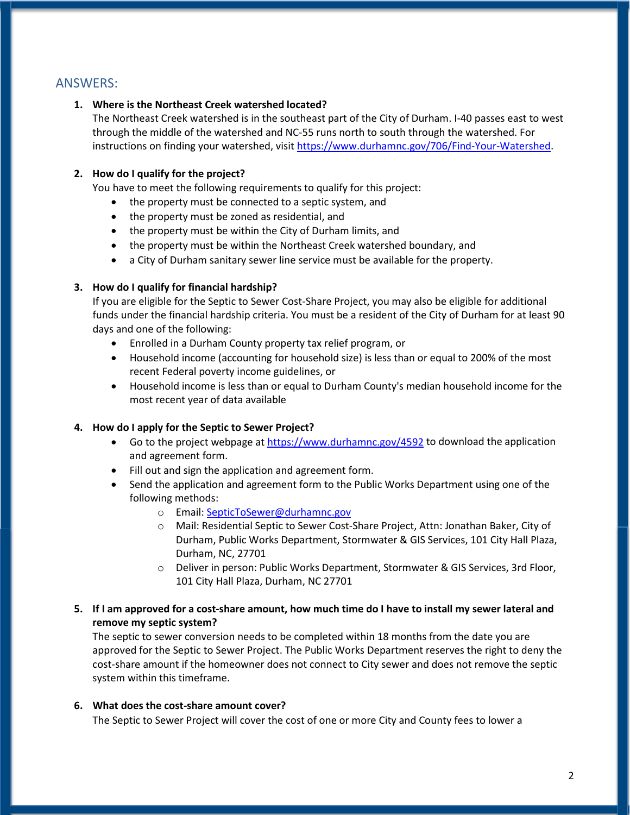## <span id="page-1-0"></span>ANSWERS:

#### **1. Where is the Northeast Creek watershed located?**

The Northeast Creek watershed is in the southeast part of the City of Durham. I-40 passes east to west through the middle of the watershed and NC-55 runs north to south through the watershed. For instructions on finding your watershed, visi[t https://www.durhamnc.gov/706/Find-Your-Watershed.](https://www.durhamnc.gov/706/Find-Your-Watershed)

### <span id="page-1-1"></span>**2. How do I qualify for the project?**

You have to meet the following requirements to qualify for this project:

- the property must be connected to a septic system, and
- the property must be zoned as residential, and
- the property must be within the City of Durham limits, and
- the property must be within the Northeast Creek watershed boundary, and
- a City of Durham sanitary sewer line service must be available for the property.

#### <span id="page-1-2"></span>**3. How do I qualify for financial hardship?**

If you are eligible for the Septic to Sewer Cost-Share Project, you may also be eligible for additional funds under the financial hardship criteria. You must be a resident of the City of Durham for at least 90 days and one of the following:

- Enrolled in a Durham County property tax relief program, or
- Household income (accounting for household size) is less than or equal to 200% of the most recent Federal poverty income guidelines, or
- Household income is less than or equal to Durham County's median household income for the most recent year of data available

#### <span id="page-1-3"></span>**4. How do I apply for the Septic to Sewer Project?**

- Go to the project webpage a[t https://www.durhamnc.gov/4592](https://www.durhamnc.gov/4592) to download the application and agreement form.
- Fill out and sign the application and agreement form.
- Send the application and agreement form to the Public Works Department using one of the following methods:
	- o Email: [SepticToSewer@durhamnc.gov](mailto:SepticToSewer@durhamnc.gov)
	- o Mail: Residential Septic to Sewer Cost-Share Project, Attn: Jonathan Baker, City of Durham, Public Works Department, Stormwater & GIS Services, 101 City Hall Plaza, Durham, NC, 27701
	- o Deliver in person: Public Works Department, Stormwater & GIS Services, 3rd Floor, 101 City Hall Plaza, Durham, NC 27701
- <span id="page-1-4"></span>**5. If I am approved for a cost-share amount, how much time do I have to install my sewer lateral and remove my septic system?**

The septic to sewer conversion needs to be completed within 18 months from the date you are approved for the Septic to Sewer Project. The Public Works Department reserves the right to deny the cost-share amount if the homeowner does not connect to City sewer and does not remove the septic system within this timeframe.

#### **6. What does the cost-share amount cover?**

<span id="page-1-5"></span>The Septic to Sewer Project will cover the cost of one or more City and County fees to lower a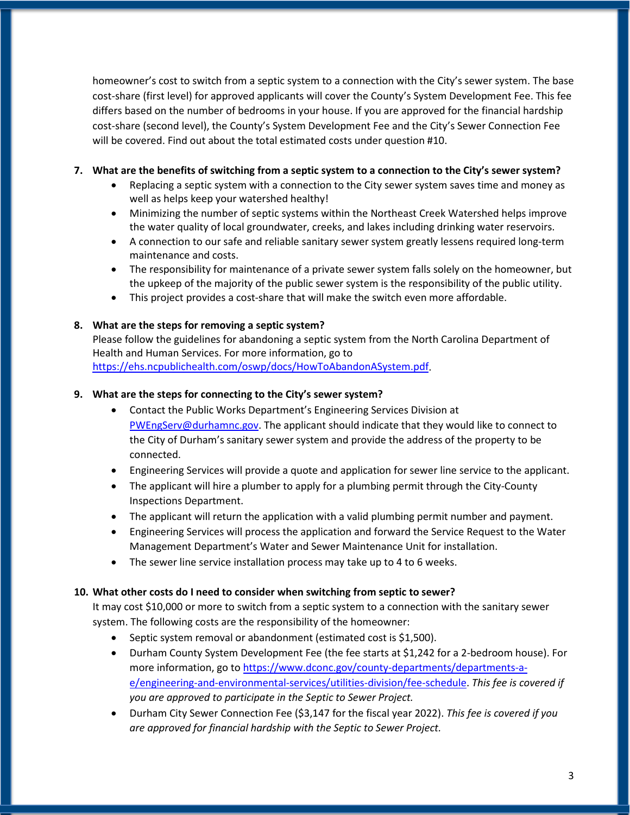homeowner's cost to switch from a septic system to a connection with the City's sewer system. The base cost-share (first level) for approved applicants will cover the County's System Development Fee. This fee differs based on the number of bedrooms in your house. If you are approved for the financial hardship cost-share (second level), the County's System Development Fee and the City's Sewer Connection Fee will be covered. Find out about the total estimated costs under question #10.

#### <span id="page-2-0"></span>**7. What are the benefits of switching from a septic system to a connection to the City's sewer system?**

- Replacing a septic system with a connection to the City sewer system saves time and money as well as helps keep your watershed healthy!
- Minimizing the number of septic systems within the Northeast Creek Watershed helps improve the water quality of local groundwater, creeks, and lakes including drinking water reservoirs.
- A connection to our safe and reliable sanitary sewer system greatly lessens required long-term maintenance and costs.
- The responsibility for maintenance of a private sewer system falls solely on the homeowner, but the upkeep of the majority of the public sewer system is the responsibility of the public utility.
- This project provides a cost-share that will make the switch even more affordable.

### <span id="page-2-1"></span>**8. What are the steps for removing a septic system?**

Please follow the guidelines for abandoning a septic system from the North Carolina Department of Health and Human Services. For more information, go to

[https://ehs.ncpublichealth.com/oswp/docs/HowToAbandonASystem.pdf.](https://ehs.ncpublichealth.com/oswp/docs/HowToAbandonASystem.pdf)

#### <span id="page-2-2"></span>**9. What are the steps for connecting to the City's sewer system?**

- Contact the Public Works Department's Engineering Services Division at [PWEngServ@durhamnc.gov.](mailto:PWEngServ@durhamnc.gov) The applicant should indicate that they would like to connect to the City of Durham's sanitary sewer system and provide the address of the property to be connected.
- Engineering Services will provide a quote and application for sewer line service to the applicant.
- The applicant will hire a plumber to apply for a plumbing permit through the City-County Inspections Department.
- The applicant will return the application with a valid plumbing permit number and payment.
- Engineering Services will process the application and forward the Service Request to the Water Management Department's Water and Sewer Maintenance Unit for installation.
- The sewer line service installation process may take up to 4 to 6 weeks.

#### <span id="page-2-3"></span>**10. What other costs do I need to consider when switching from septic to sewer?**

It may cost \$10,000 or more to switch from a septic system to a connection with the sanitary sewer system. The following costs are the responsibility of the homeowner:

- Septic system removal or abandonment (estimated cost is \$1,500).
- Durham County System Development Fee (the fee starts at \$1,242 for a 2-bedroom house). For more information, go to [https://www.dconc.gov/county-departments/departments-a](https://www.dconc.gov/county-departments/departments-a-e/engineering-and-environmental-services/utilities-division/fee-schedule)[e/engineering-and-environmental-services/utilities-division/fee-schedule.](https://www.dconc.gov/county-departments/departments-a-e/engineering-and-environmental-services/utilities-division/fee-schedule) *This fee is covered if you are approved to participate in the Septic to Sewer Project.*
- Durham City Sewer Connection Fee (\$3,147 for the fiscal year 2022). *This fee is covered if you are approved for financial hardship with the Septic to Sewer Project.*